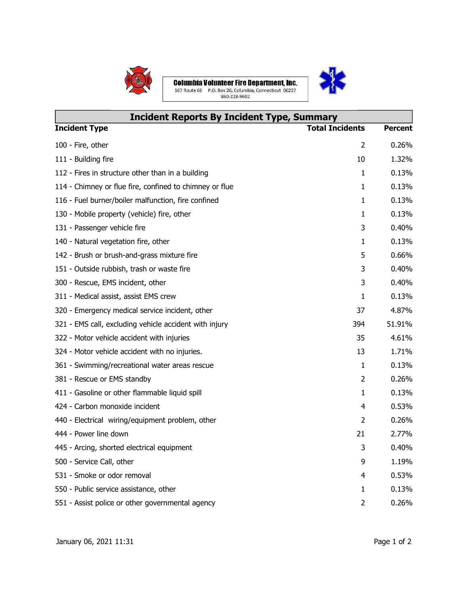

## **Columbia Volunteer Fire Department, Inc.**<br>167 Route 66 P.O. Box 26, Columbia, Connecticut 06237<br>860-228-9602



| <b>Incident Reports By Incident Type, Summary</b>       |                        |                |  |
|---------------------------------------------------------|------------------------|----------------|--|
| <b>Incident Type</b>                                    | <b>Total Incidents</b> | <b>Percent</b> |  |
| 100 - Fire, other                                       | 2                      | 0.26%          |  |
| 111 - Building fire                                     | 10                     | 1.32%          |  |
| 112 - Fires in structure other than in a building       | 1                      | 0.13%          |  |
| 114 - Chimney or flue fire, confined to chimney or flue | $\mathbf{1}$           | 0.13%          |  |
| 116 - Fuel burner/boiler malfunction, fire confined     | 1                      | 0.13%          |  |
| 130 - Mobile property (vehicle) fire, other             | $\mathbf{1}$           | 0.13%          |  |
| 131 - Passenger vehicle fire                            | 3                      | 0.40%          |  |
| 140 - Natural vegetation fire, other                    | 1                      | 0.13%          |  |
| 142 - Brush or brush-and-grass mixture fire             | 5                      | 0.66%          |  |
| 151 - Outside rubbish, trash or waste fire              | 3                      | 0.40%          |  |
| 300 - Rescue, EMS incident, other                       | 3                      | 0.40%          |  |
| 311 - Medical assist, assist EMS crew                   | 1                      | 0.13%          |  |
| 320 - Emergency medical service incident, other         | 37                     | 4.87%          |  |
| 321 - EMS call, excluding vehicle accident with injury  | 394                    | 51.91%         |  |
| 322 - Motor vehicle accident with injuries              | 35                     | 4.61%          |  |
| 324 - Motor vehicle accident with no injuries.          | 13                     | 1.71%          |  |
| 361 - Swimming/recreational water areas rescue          | 1                      | 0.13%          |  |
| 381 - Rescue or EMS standby                             | 2                      | 0.26%          |  |
| 411 - Gasoline or other flammable liquid spill          | 1                      | 0.13%          |  |
| 424 - Carbon monoxide incident                          | $\overline{4}$         | 0.53%          |  |
| 440 - Electrical wiring/equipment problem, other        | 2                      | 0.26%          |  |
| 444 - Power line down                                   | 21                     | 2.77%          |  |
| 445 - Arcing, shorted electrical equipment              | 3                      | 0.40%          |  |
| 500 - Service Call, other                               | 9                      | 1.19%          |  |
| 531 - Smoke or odor removal                             | 4                      | 0.53%          |  |
| 550 - Public service assistance, other                  | 1                      | 0.13%          |  |
| 551 - Assist police or other governmental agency        | $\overline{2}$         | 0.26%          |  |